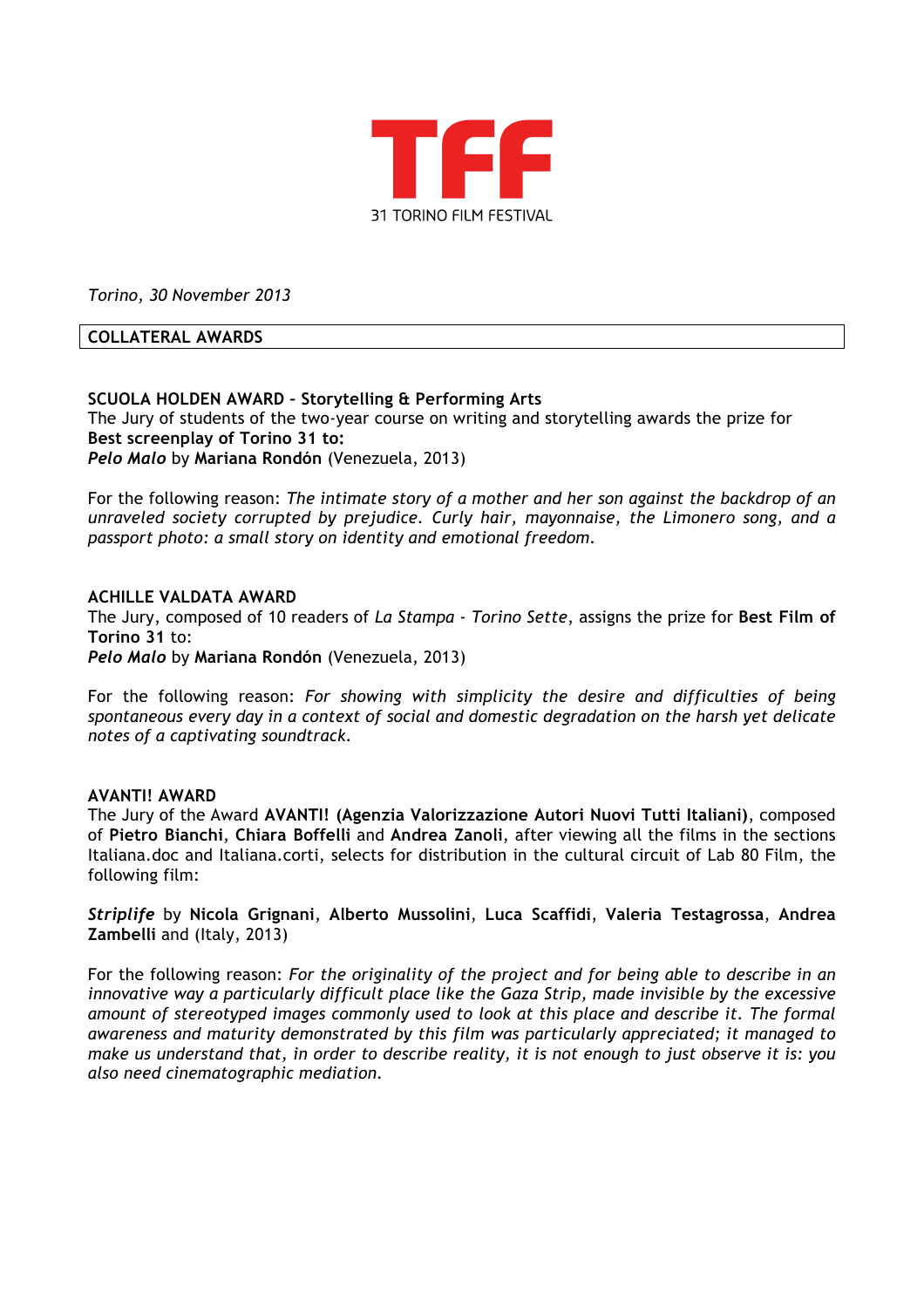

*Torino, 30 November 2013*

## **COLLATERAL AWARDS**

# **SCUOLA HOLDEN AWARD – Storytelling & Performing Arts**

The Jury of students of the two-year course on writing and storytelling awards the prize for **Best screenplay of Torino 31 to:** *Pelo Malo* by **Mariana Rondón** (Venezuela, 2013)

For the following reason: *The intimate story of a mother and her son against the backdrop of an unraveled society corrupted by prejudice. Curly hair, mayonnaise, the Limonero song, and a passport photo: a small story on identity and emotional freedom.* 

### **ACHILLE VALDATA AWARD**

The Jury, composed of 10 readers of *La Stampa - Torino Sette*, assigns the prize for **Best Film of Torino 31** to: *Pelo Malo* by **Mariana Rondón** (Venezuela, 2013)

For the following reason: *For showing with simplicity the desire and difficulties of being spontaneous every day in a context of social and domestic degradation on the harsh yet delicate notes of a captivating soundtrack.*

### **AVANTI! AWARD**

The Jury of the Award **AVANTI! (Agenzia Valorizzazione Autori Nuovi Tutti Italiani)**, composed of **Pietro Bianchi**, **Chiara Boffelli** and **Andrea Zanoli**, after viewing all the films in the sections Italiana.doc and Italiana.corti, selects for distribution in the cultural circuit of Lab 80 Film, the following film:

*Striplife* by **Nicola Grignani**, **Alberto Mussolini**, **Luca Scaffidi**, **Valeria Testagrossa**, **Andrea Zambelli** and (Italy, 2013)

For the following reason: *For the originality of the project and for being able to describe in an innovative way a particularly difficult place like the Gaza Strip, made invisible by the excessive amount of stereotyped images commonly used to look at this place and describe it. The formal awareness and maturity demonstrated by this film was particularly appreciated; it managed to make us understand that, in order to describe reality, it is not enough to just observe it is: you also need cinematographic mediation.*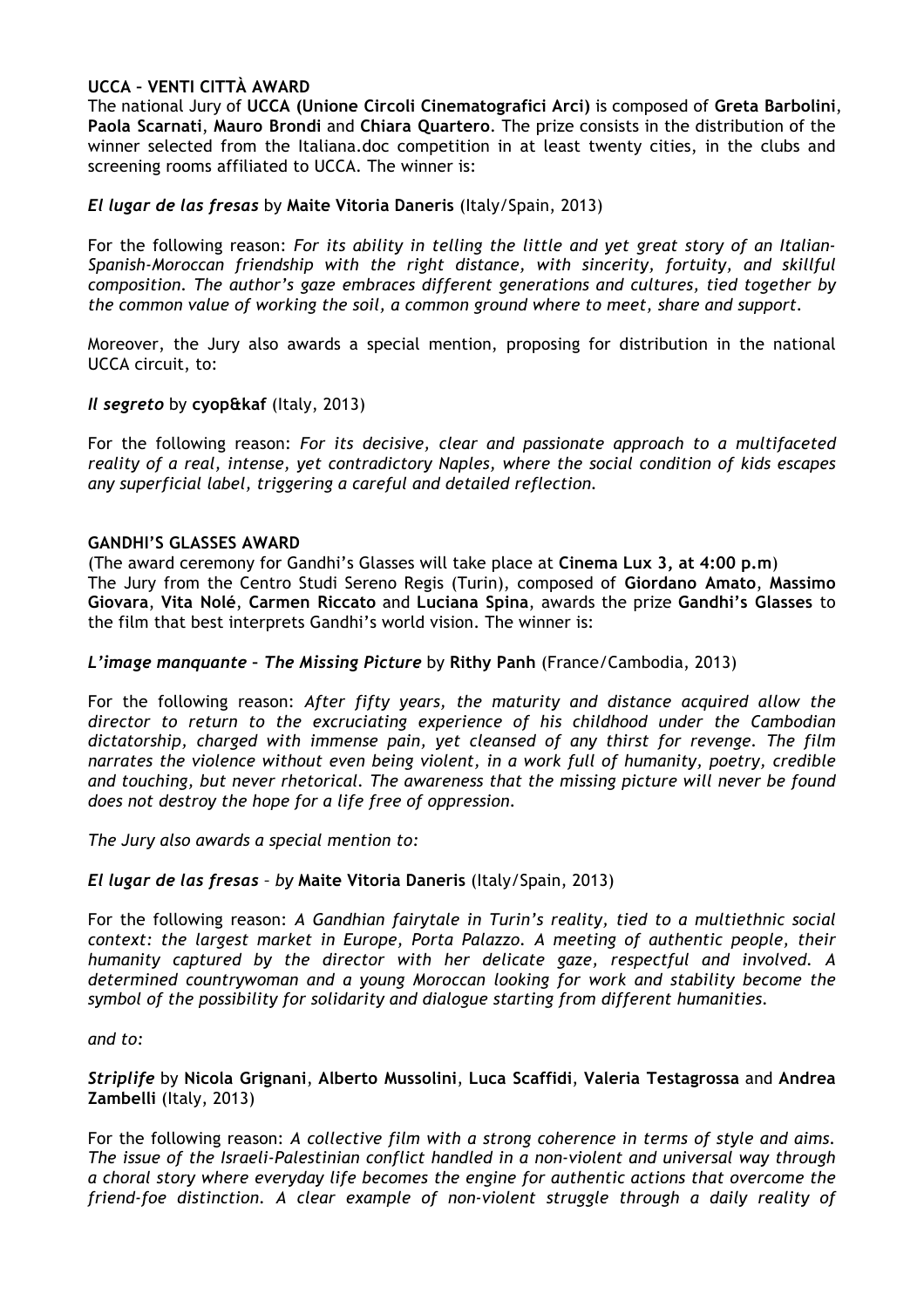## **UCCA – VENTI CITTÀ AWARD**

The national Jury of **UCCA (Unione Circoli Cinematografici Arci)** is composed of **Greta Barbolini**, **Paola Scarnati**, **Mauro Brondi** and **Chiara Quartero**. The prize consists in the distribution of the winner selected from the Italiana.doc competition in at least twenty cities, in the clubs and screening rooms affiliated to UCCA. The winner is:

## *El lugar de las fresas* by **Maite Vitoria Daneris** (Italy/Spain, 2013)

For the following reason: *For its ability in telling the little and yet great story of an Italian-Spanish-Moroccan friendship with the right distance, with sincerity, fortuity, and skillful composition. The author's gaze embraces different generations and cultures, tied together by the common value of working the soil, a common ground where to meet, share and support.* 

Moreover, the Jury also awards a special mention, proposing for distribution in the national UCCA circuit, to:

### *Il segreto* by **cyop&kaf** (Italy, 2013)

For the following reason: *For its decisive, clear and passionate approach to a multifaceted reality of a real, intense, yet contradictory Naples, where the social condition of kids escapes any superficial label, triggering a careful and detailed reflection.*

## **GANDHI'S GLASSES AWARD**

(The award ceremony for Gandhi's Glasses will take place at **Cinema Lux 3, at 4:00 p.m**) The Jury from the Centro Studi Sereno Regis (Turin), composed of **Giordano Amato**, **Massimo Giovara**, **Vita Nolé**, **Carmen Riccato** and **Luciana Spina**, awards the prize **Gandhi's Glasses** to the film that best interprets Gandhi's world vision. The winner is:

### *L'image manquante – The Missing Picture* by **Rithy Panh** (France/Cambodia, 2013)

For the following reason: *After fifty years, the maturity and distance acquired allow the director to return to the excruciating experience of his childhood under the Cambodian dictatorship, charged with immense pain, yet cleansed of any thirst for revenge. The film narrates the violence without even being violent, in a work full of humanity, poetry, credible and touching, but never rhetorical. The awareness that the missing picture will never be found does not destroy the hope for a life free of oppression.*

*The Jury also awards a special mention to:*

### *El lugar de las fresas – by* **Maite Vitoria Daneris** (Italy/Spain, 2013)

For the following reason: *A Gandhian fairytale in Turin's reality, tied to a multiethnic social context: the largest market in Europe, Porta Palazzo. A meeting of authentic people, their humanity captured by the director with her delicate gaze, respectful and involved. A determined countrywoman and a young Moroccan looking for work and stability become the symbol of the possibility for solidarity and dialogue starting from different humanities.*

### *and to:*

## *Striplife* by **Nicola Grignani**, **Alberto Mussolini**, **Luca Scaffidi**, **Valeria Testagrossa** and **Andrea Zambelli** (Italy, 2013)

For the following reason: *A collective film with a strong coherence in terms of style and aims. The issue of the Israeli-Palestinian conflict handled in a non-violent and universal way through a choral story where everyday life becomes the engine for authentic actions that overcome the friend-foe distinction. A clear example of non-violent struggle through a daily reality of*